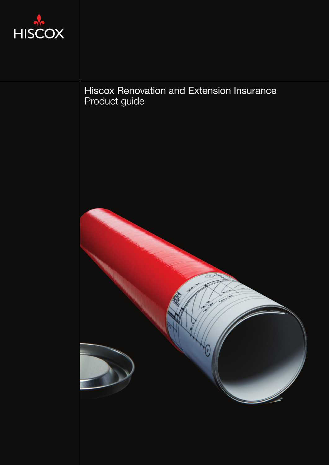



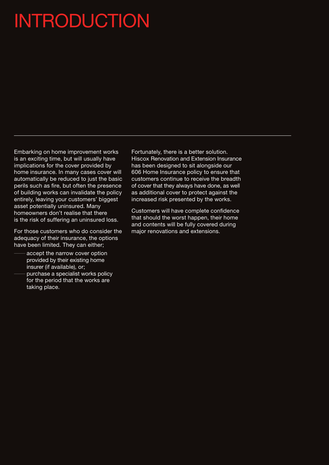# INTRODUCTION

Embarking on home improvement works is an exciting time, but will usually have implications for the cover provided by home insurance. In many cases cover will automatically be reduced to just the basic perils such as fire, but often the presence of building works can invalidate the policy entirely, leaving your customers' biggest asset potentially uninsured. Many homeowners don't realise that there is the risk of suffering an uninsured loss.

For those customers who do consider the adequacy of their insurance, the options have been limited. They can either;

- accept the narrow cover option provided by their existing home insurer (if available), or;
- purchase a specialist works policy for the period that the works are taking place.

Fortunately, there is a better solution. Hiscox Renovation and Extension Insurance has been designed to sit alongside our 606 Home Insurance policy to ensure that customers continue to receive the breadth of cover that they always have done, as well as additional cover to protect against the increased risk presented by the works.

Customers will have complete confidence that should the worst happen, their home and contents will be fully covered during major renovations and extensions.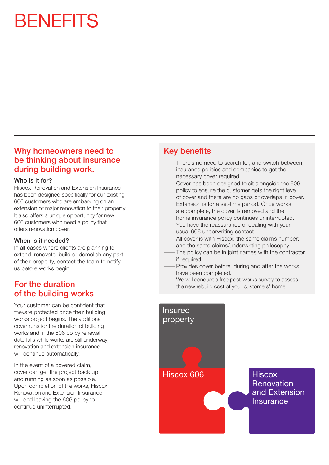# **BENEFITS**

## Why homeowners need to be thinking about insurance during building work.

#### Who is it for?

Hiscox Renovation and Extension Insurance has been designed specifically for our existing 606 customers who are embarking on an extension or major renovation to their property. It also offers a unique opportunity for new 606 customers who need a policy that offers renovation cover.

### When is it needed?

In all cases where clients are planning to extend, renovate, build or demolish any part of their property, contact the team to notify us before works begin.

## For the duration of the building works

Your customer can be confident that theyare protected once their building works project begins. The additional cover runs for the duration of building works and, if the 606 policy renewal date falls while works are still underway, renovation and extension insurance will continue automatically.

In the event of a covered claim, cover can get the project back up and running as soon as possible. Upon completion of the works, Hiscox Renovation and Extension Insurance will end leaving the 606 policy to continue uninterrupted.

## Key benefits

- There's no need to search for, and switch between, insurance policies and companies to get the necessary cover required.
- Cover has been designed to sit alongside the 606 policy to ensure the customer gets the right level of cover and there are no gaps or overlaps in cover.
- Extension is for a set-time period. Once works are complete, the cover is removed and the home insurance policy continues uninterrupted.
- You have the reassurance of dealing with your usual 606 underwriting contact.
- All cover is with Hiscox; the same claims number; and the same claims/underwriting philosophy.
- The policy can be in joint names with the contractor if required.
- Provides cover before, during and after the works have been completed.
- We will conduct a free post-works survey to assess the new rebuild cost of your customers' home.

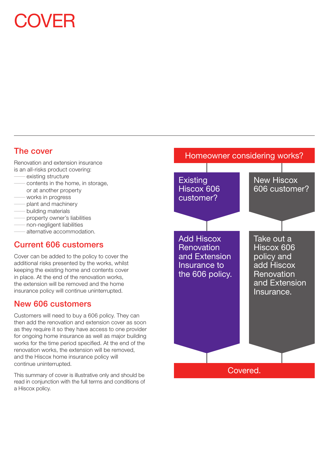## COVER

## The cover

Renovation and extension insurance is an all-risks product covering:

- existing structure
- contents in the home, in storage, or at another property
- works in progress
- plant and machinery
- building materials
- property owner's liabilities
- non-negligent liabilities
- alternative accommodation

## Current 606 customers

Cover can be added to the policy to cover the additional risks presented by the works, whilst keeping the existing home and contents cover in place. At the end of the renovation works, the extension will be removed and the home insurance policy will continue uninterrupted.

### New 606 customers

Customers will need to buy a 606 policy. They can then add the renovation and extension cover as soon as they require it so they have access to one provider for ongoing home insurance as well as major building works for the time period specified. At the end of the renovation works, the extension will be removed, and the Hiscox home insurance policy will continue uninterrupted.

This summary of cover is illustrative only and should be read in conjunction with the full terms and conditions of a Hiscox policy.

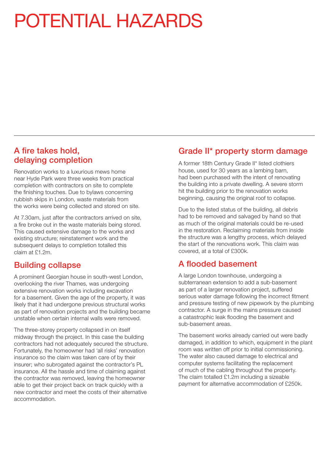## POTENTIAL HAZARDS

## A fire takes hold, delaying completion

Renovation works to a luxurious mews home near Hyde Park were three weeks from practical completion with contractors on site to complete the finishing touches. Due to bylaws concerning rubbish skips in London, waste materials from the works were being collected and stored on site.

At 7.30am, just after the contractors arrived on site, a fire broke out in the waste materials being stored. This caused extensive damage to the works and existing structure; reinstatement work and the subsequent delays to completion totalled this claim at £1.2m.

### Building collapse

A prominent Georgian house in south-west London, overlooking the river Thames, was undergoing extensive renovation works including excavation for a basement. Given the age of the property, it was likely that it had undergone previous structural works as part of renovation projects and the building became unstable when certain internal walls were removed.

The three-storey property collapsed in on itself midway through the project. In this case the building contractors had not adequately secured the structure. Fortunately, the homeowner had 'all risks' renovation insurance so the claim was taken care of by their insurer; who subrogated against the contractor's PL insurance. All the hassle and time of claiming against the contractor was removed, leaving the homeowner able to get their project back on track quickly with a new contractor and meet the costs of their alternative accommodation.

### Grade II\* property storm damage

A former 18th Century Grade II\* listed clothiers house, used for 30 years as a lambing barn, had been purchased with the intent of renovating the building into a private dwelling. A severe storm hit the building prior to the renovation works beginning, causing the original roof to collapse.

Due to the listed status of the building, all debris had to be removed and salvaged by hand so that as much of the original materials could be re-used in the restoration. Reclaiming materials from inside the structure was a lengthy process, which delayed the start of the renovations work. This claim was covered, at a total of £300k.

### A flooded basement

A large London townhouse, undergoing a subterranean extension to add a sub-basement as part of a larger renovation project, suffered serious water damage following the incorrect fitment and pressure testing of new pipework by the plumbing contractor. A surge in the mains pressure caused a catastrophic leak flooding the basement and sub-basement areas.

The basement works already carried out were badly damaged, in addition to which, equipment in the plant room was written off prior to initial commissioning. The water also caused damage to electrical and computer systems facilitating the replacement of much of the cabling throughout the property. The claim totalled £1.2m including a sizeable payment for alternative accommodation of £250k.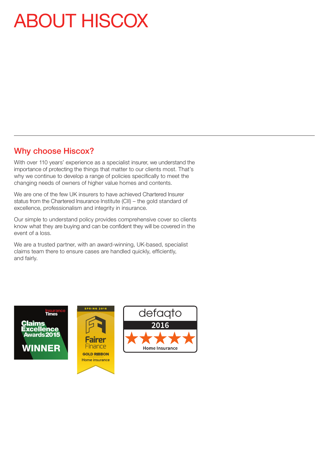# ABOUT HISCOX

## Why choose Hiscox?

With over 110 years' experience as a specialist insurer, we understand the importance of protecting the things that matter to our clients most. That's why we continue to develop a range of policies specifically to meet the changing needs of owners of higher value homes and contents.

We are one of the few UK insurers to have achieved Chartered Insurer status from the Chartered Insurance Institute (CII) – the gold standard of excellence, professionalism and integrity in insurance.

Our simple to understand policy provides comprehensive cover so clients know what they are buying and can be confident they will be covered in the event of a loss.

We are a trusted partner, with an award-winning, UK-based, specialist claims team there to ensure cases are handled quickly, efficiently, and fairly.





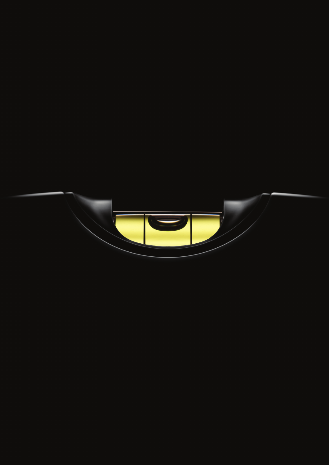